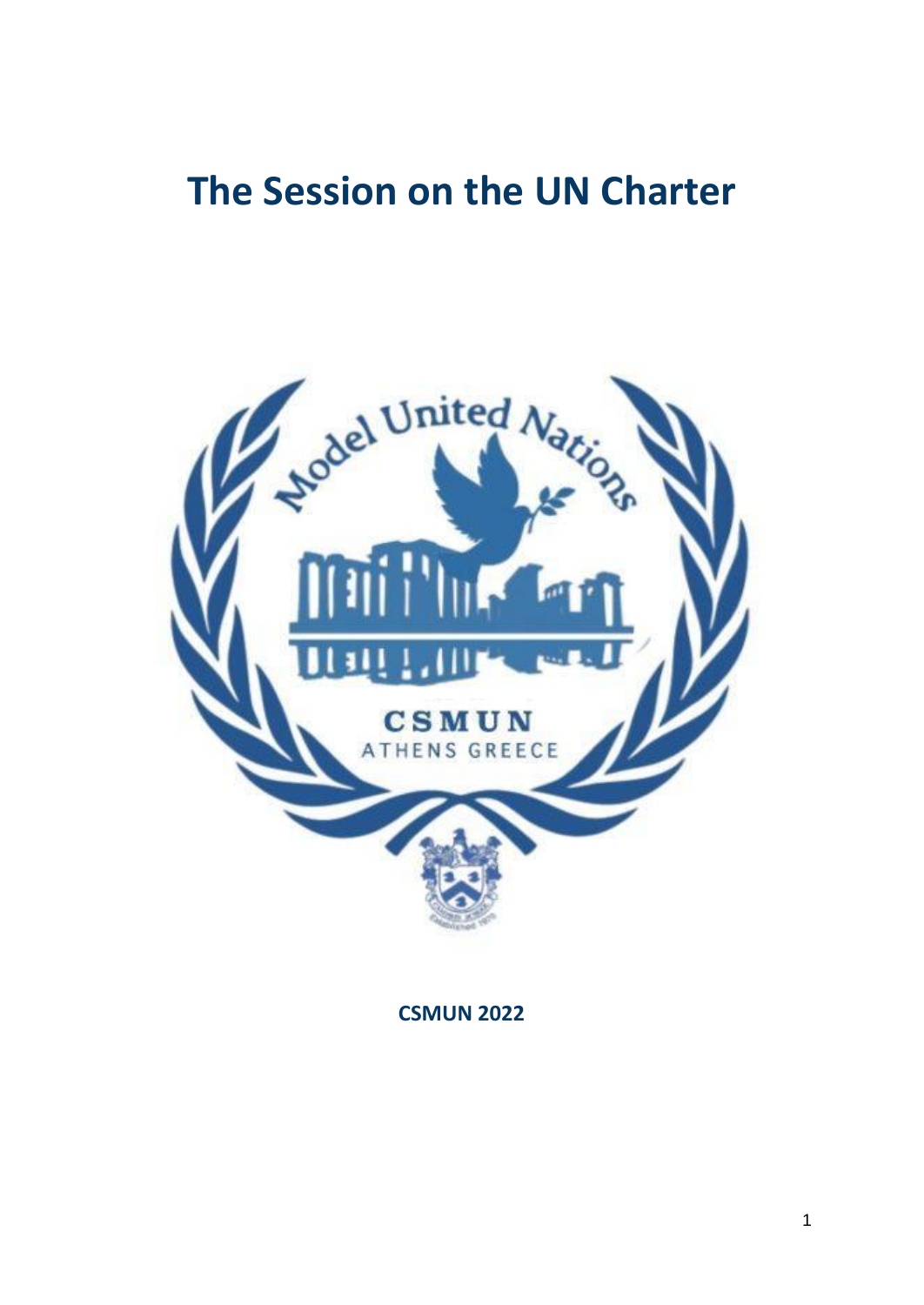# **The Session on the UN Charter**



**CSMUN 2022**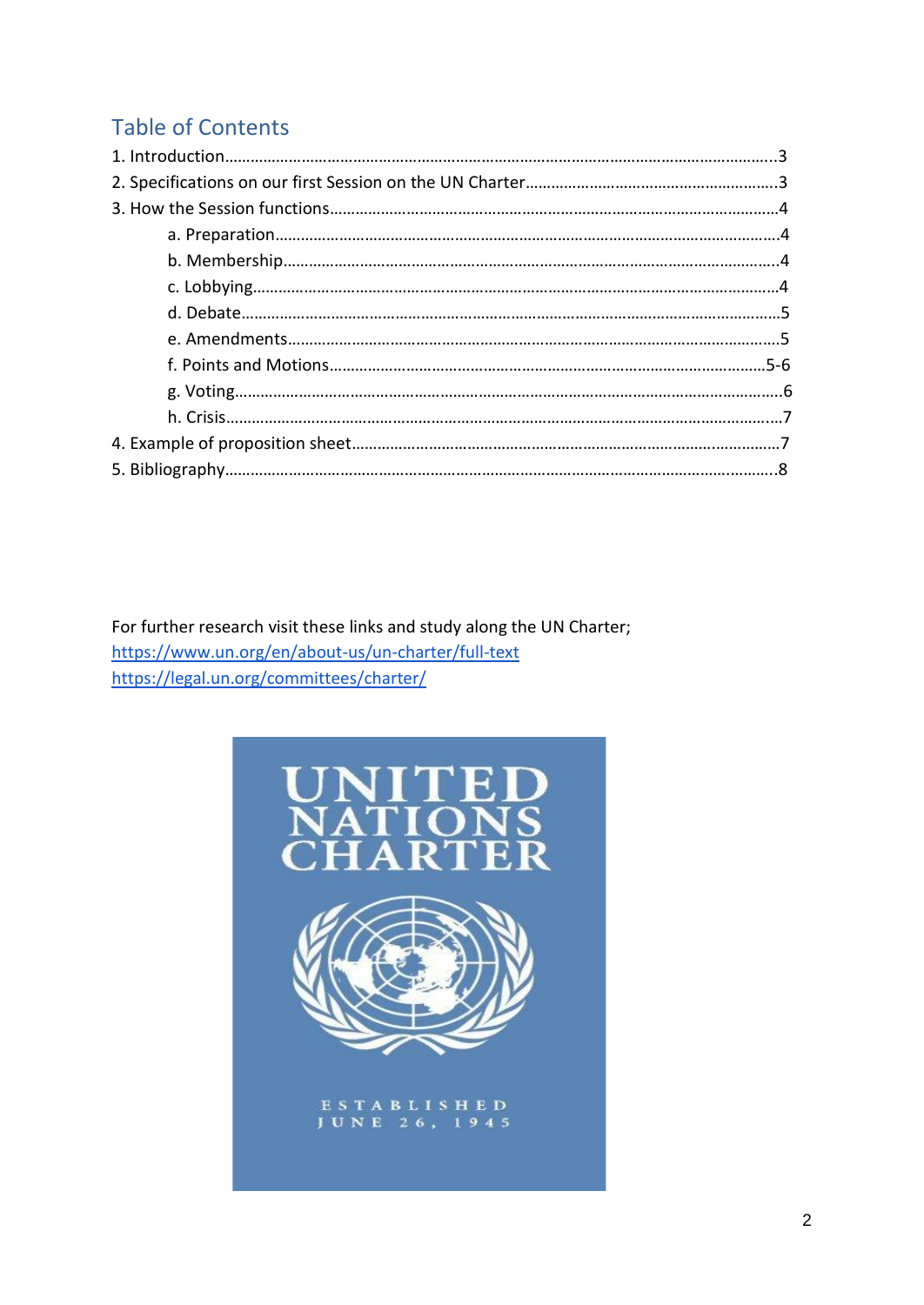# Table of Contents

For further research visit these links and study along the UN Charter; <https://www.un.org/en/about-us/un-charter/full-text> <https://legal.un.org/committees/charter/>

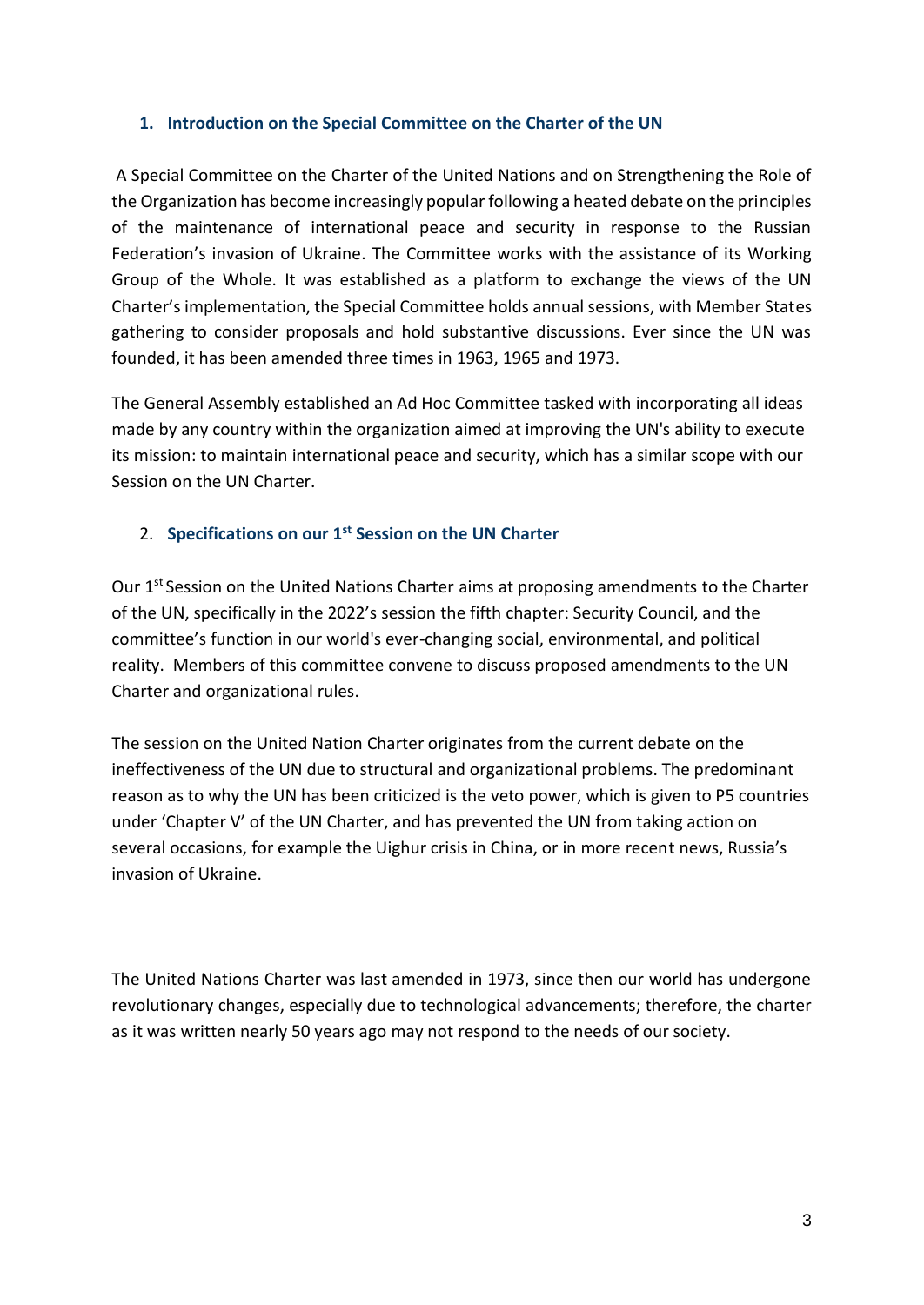#### **1. Introduction on the Special Committee on the Charter of the UN**

A Special Committee on the Charter of the United Nations and on Strengthening the Role of the Organization has become increasingly popular following a heated debate on the principles of the maintenance of international peace and security in response to the Russian Federation's invasion of Ukraine. The Committee works with the assistance of its Working Group of the Whole. It was established as a platform to exchange the views of the UN Charter's implementation, the Special Committee holds annual sessions, with Member States gathering to consider proposals and hold substantive discussions. Ever since the UN was founded, it has been amended three times in 1963, 1965 and 1973.

The General Assembly established an Ad Hoc Committee tasked with incorporating all ideas made by any country within the organization aimed at improving the UN's ability to execute its mission: to maintain international peace and security, which has a similar scope with our Session on the UN Charter.

# 2. **Specifications on our 1st Session on the UN Charter**

Our 1<sup>st</sup> Session on the United Nations Charter aims at proposing amendments to the Charter of the UN, specifically in the 2022's session the fifth chapter: Security Council, and the committee's function in our world's ever-changing social, environmental, and political reality. Members of this committee convene to discuss proposed amendments to the UN Charter and organizational rules.

The session on the United Nation Charter originates from the current debate on the ineffectiveness of the UN due to structural and organizational problems. The predominant reason as to why the UN has been criticized is the veto power, which is given to P5 countries under 'Chapter V' of the UN Charter, and has prevented the UN from taking action on several occasions, for example the Uighur crisis in China, or in more recent news, Russia's invasion of Ukraine.

The United Nations Charter was last amended in 1973, since then our world has undergone revolutionary changes, especially due to technological advancements; therefore, the charter as it was written nearly 50 years ago may not respond to the needs of our society.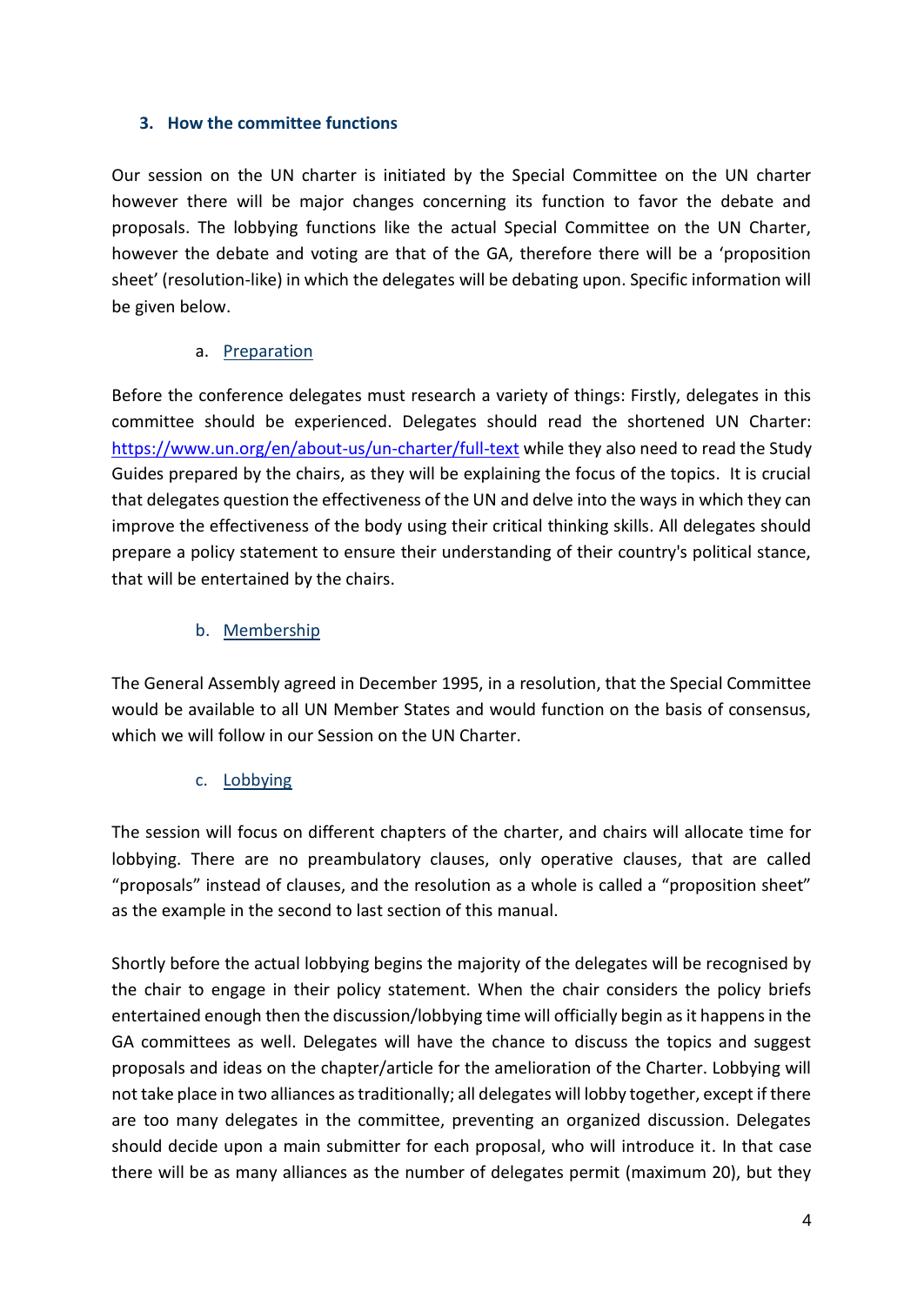#### **3. How the committee functions**

Our session on the UN charter is initiated by the Special Committee on the UN charter however there will be major changes concerning its function to favor the debate and proposals. The lobbying functions like the actual Special Committee on the UN Charter, however the debate and voting are that of the GA, therefore there will be a 'proposition sheet' (resolution-like) in which the delegates will be debating upon. Specific information will be given below.

# a. Preparation

Before the conference delegates must research a variety of things: Firstly, delegates in this committee should be experienced. Delegates should read the shortened UN Charter[:](https://www.un.org/en/about-us/un-charter/full-text) <https://www.un.org/en/about-us/un-charter/full-text> while they also need to read the Study Guides prepared by the chairs, as they will be explaining the focus of the topics. It is crucial that delegates question the effectiveness of the UN and delve into the ways in which they can improve the effectiveness of the body using their critical thinking skills. All delegates should prepare a policy statement to ensure their understanding of their country's political stance, that will be entertained by the chairs.

# b. Membership

The General Assembly agreed in December 1995, in a resolution, that the Special Committee would be available to all UN Member States and would function on the basis of consensus, which we will follow in our Session on the UN Charter.

#### c. Lobbying

The session will focus on different chapters of the charter, and chairs will allocate time for lobbying. There are no preambulatory clauses, only operative clauses, that are called "proposals" instead of clauses, and the resolution as a whole is called a "proposition sheet" as the example in the second to last section of this manual.

Shortly before the actual lobbying begins the majority of the delegates will be recognised by the chair to engage in their policy statement. When the chair considers the policy briefs entertained enough then the discussion/lobbying time will officially begin as it happens in the GA committees as well. Delegates will have the chance to discuss the topics and suggest proposals and ideas on the chapter/article for the amelioration of the Charter. Lobbying will not take place in two alliances as traditionally; all delegates will lobby together, except if there are too many delegates in the committee, preventing an organized discussion. Delegates should decide upon a main submitter for each proposal, who will introduce it. In that case there will be as many alliances as the number of delegates permit (maximum 20), but they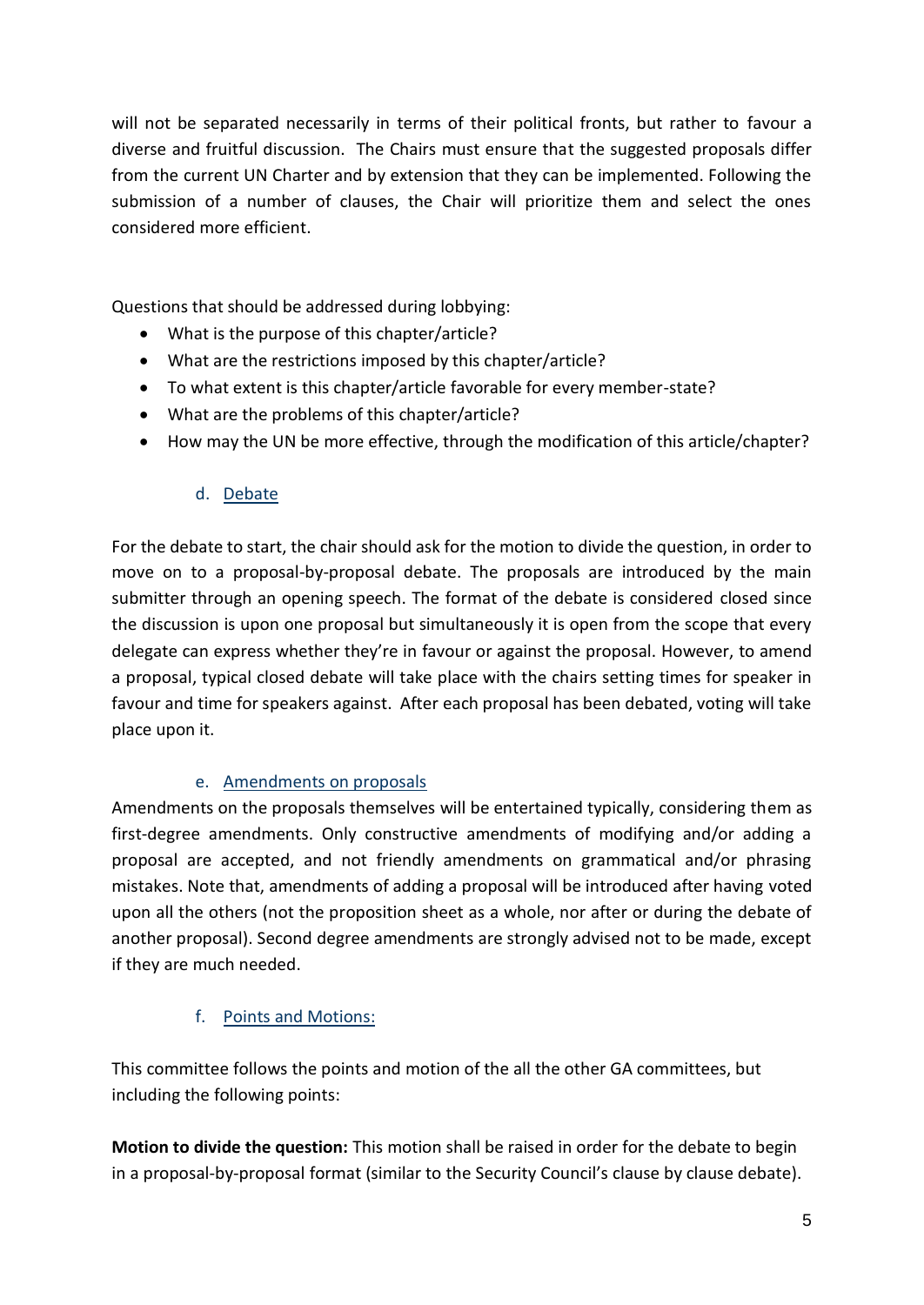will not be separated necessarily in terms of their political fronts, but rather to favour a diverse and fruitful discussion. The Chairs must ensure that the suggested proposals differ from the current UN Charter and by extension that they can be implemented. Following the submission of a number of clauses, the Chair will prioritize them and select the ones considered more efficient.

Questions that should be addressed during lobbying:

- What is the purpose of this chapter/article?
- What are the restrictions imposed by this chapter/article?
- To what extent is this chapter/article favorable for every member-state?
- What are the problems of this chapter/article?
- How may the UN be more effective, through the modification of this article/chapter?

# d. Debate

For the debate to start, the chair should ask for the motion to divide the question, in order to move on to a proposal-by-proposal debate. The proposals are introduced by the main submitter through an opening speech. The format of the debate is considered closed since the discussion is upon one proposal but simultaneously it is open from the scope that every delegate can express whether they're in favour or against the proposal. However, to amend a proposal, typical closed debate will take place with the chairs setting times for speaker in favour and time for speakers against. After each proposal has been debated, voting will take place upon it.

# e. Amendments on proposals

Amendments on the proposals themselves will be entertained typically, considering them as first-degree amendments. Only constructive amendments of modifying and/or adding a proposal are accepted, and not friendly amendments on grammatical and/or phrasing mistakes. Note that, amendments of adding a proposal will be introduced after having voted upon all the others (not the proposition sheet as a whole, nor after or during the debate of another proposal). Second degree amendments are strongly advised not to be made, except if they are much needed.

# f. Points and Motions:

This committee follows the points and motion of the all the other GA committees, but including the following points:

**Motion to divide the question:** This motion shall be raised in order for the debate to begin in a proposal-by-proposal format (similar to the Security Council's clause by clause debate).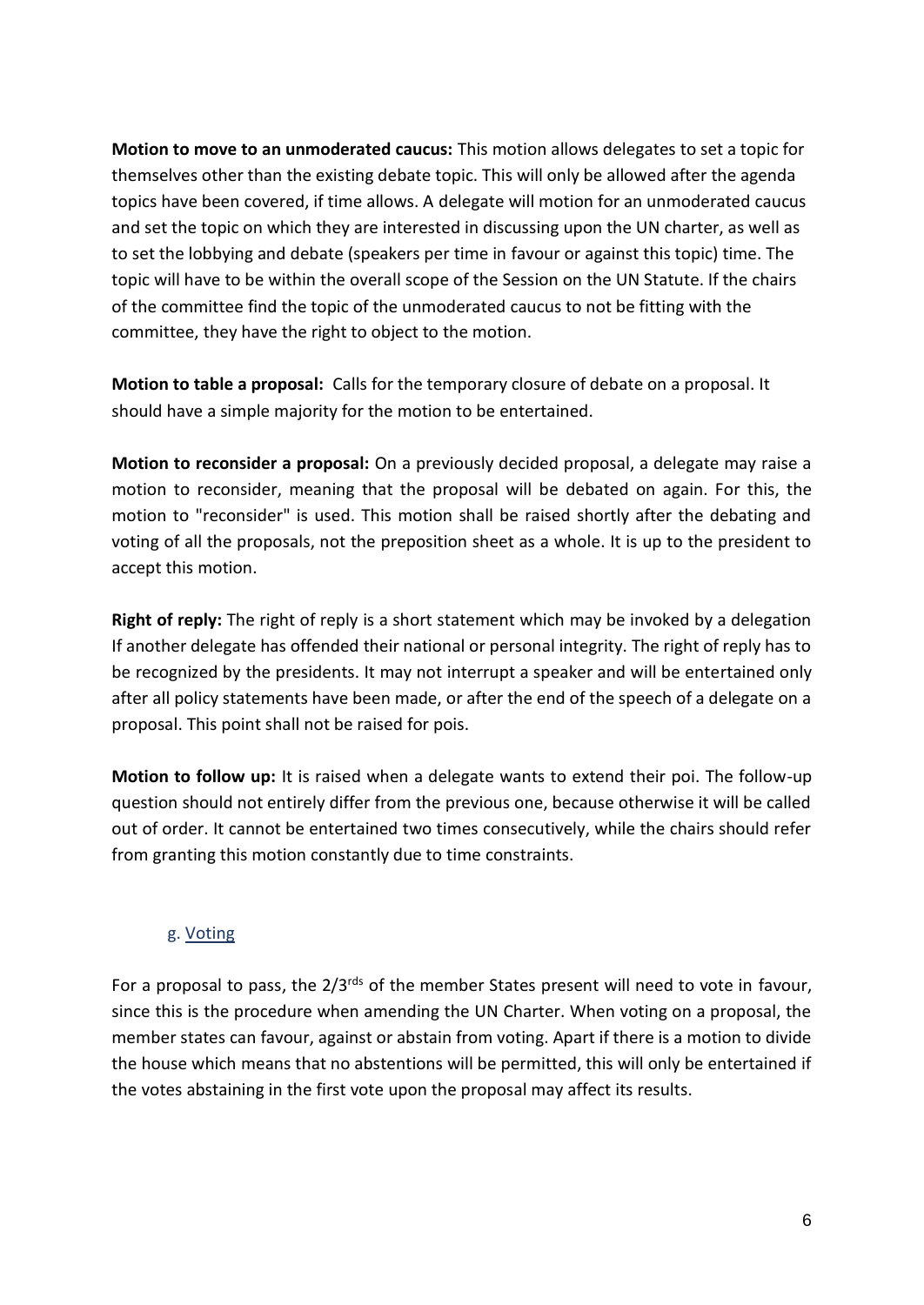**Motion to move to an unmoderated caucus:** This motion allows delegates to set a topic for themselves other than the existing debate topic. This will only be allowed after the agenda topics have been covered, if time allows. A delegate will motion for an unmoderated caucus and set the topic on which they are interested in discussing upon the UN charter, as well as to set the lobbying and debate (speakers per time in favour or against this topic) time. The topic will have to be within the overall scope of the Session on the UN Statute. If the chairs of the committee find the topic of the unmoderated caucus to not be fitting with the committee, they have the right to object to the motion.

**Motion to table a proposal:** Calls for the temporary closure of debate on a proposal. It should have a simple majority for the motion to be entertained.

**Motion to reconsider a proposal:** On a previously decided proposal, a delegate may raise a motion to reconsider, meaning that the proposal will be debated on again. For this, the motion to "reconsider" is used. This motion shall be raised shortly after the debating and voting of all the proposals, not the preposition sheet as a whole. It is up to the president to accept this motion.

**Right of reply:** The right of reply is a short statement which may be invoked by a delegation If another delegate has offended their national or personal integrity. The right of reply has to be recognized by the presidents. It may not interrupt a speaker and will be entertained only after all policy statements have been made, or after the end of the speech of a delegate on a proposal. This point shall not be raised for pois.

**Motion to follow up:** It is raised when a delegate wants to extend their poi. The follow-up question should not entirely differ from the previous one, because otherwise it will be called out of order. It cannot be entertained two times consecutively, while the chairs should refer from granting this motion constantly due to time constraints.

#### g. Voting

For a proposal to pass, the  $2/3^{rds}$  of the member States present will need to vote in favour, since this is the procedure when amending the UN Charter. When voting on a proposal, the member states can favour, against or abstain from voting. Apart if there is a motion to divide the house which means that no abstentions will be permitted, this will only be entertained if the votes abstaining in the first vote upon the proposal may affect its results.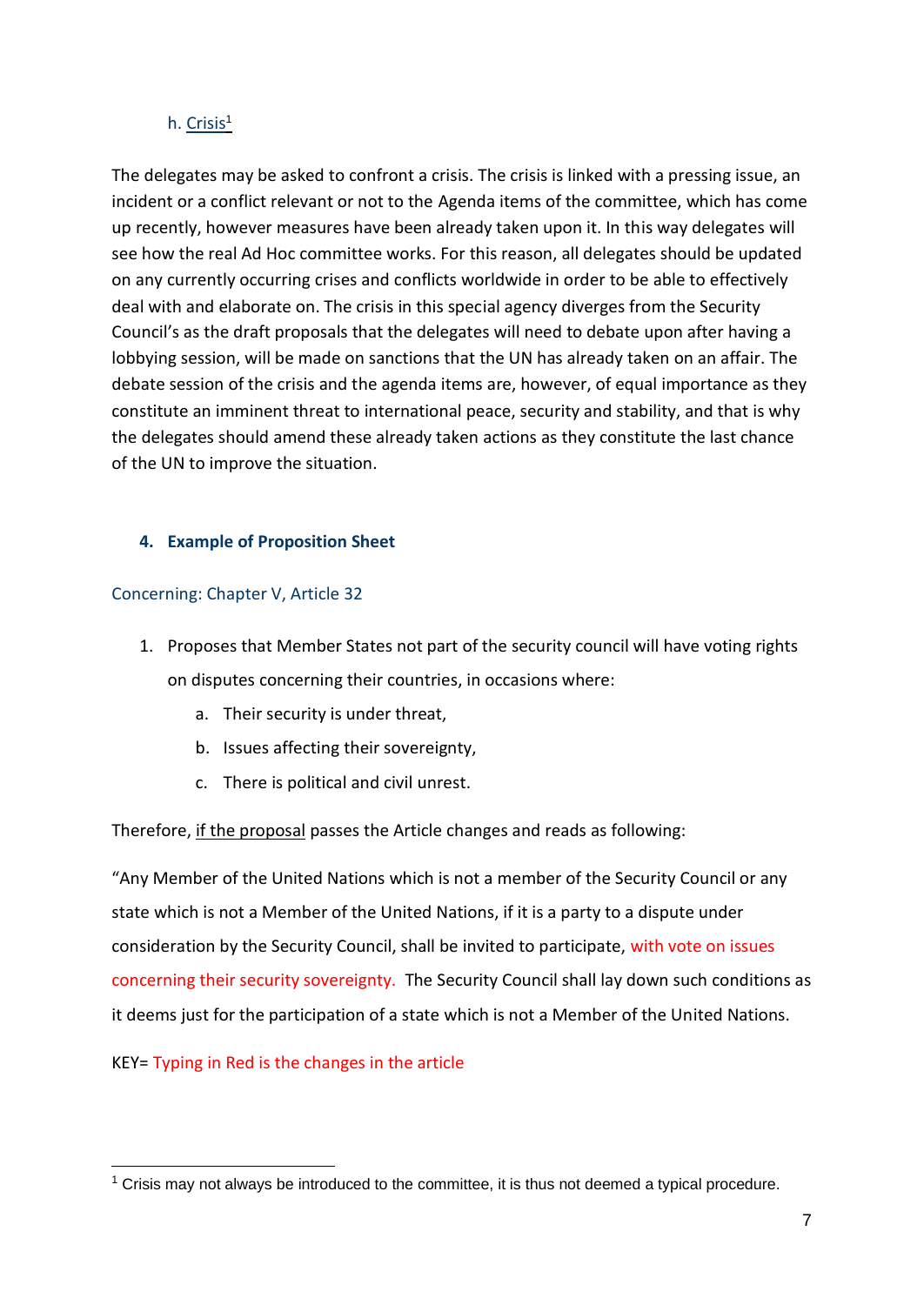#### h. Crisis<sup>1</sup>

The delegates may be asked to confront a crisis. The crisis is linked with a pressing issue, an incident or a conflict relevant or not to the Agenda items of the committee, which has come up recently, however measures have been already taken upon it. In this way delegates will see how the real Ad Hoc committee works. For this reason, all delegates should be updated on any currently occurring crises and conflicts worldwide in order to be able to effectively deal with and elaborate on. The crisis in this special agency diverges from the Security Council's as the draft proposals that the delegates will need to debate upon after having a lobbying session, will be made on sanctions that the UN has already taken on an affair. The debate session of the crisis and the agenda items are, however, of equal importance as they constitute an imminent threat to international peace, security and stability, and that is why the delegates should amend these already taken actions as they constitute the last chance of the UN to improve the situation.

# **4. Example of Proposition Sheet**

# Concerning: Chapter V, Article 32

- 1. Proposes that Member States not part of the security council will have voting rights on disputes concerning their countries, in occasions where:
	- a. Their security is under threat,
	- b. Issues affecting their sovereignty,
	- c. There is political and civil unrest.

Therefore, if the proposal passes the Article changes and reads as following:

"Any Member of the United Nations which is not a member of the Security Council or any state which is not a Member of the United Nations, if it is a party to a dispute under consideration by the Security Council, shall be invited to participate, with vote on issues concerning their security sovereignty. The Security Council shall lay down such conditions as it deems just for the participation of a state which is not a Member of the United Nations.

KEY= Typing in Red is the changes in the article

 $1$  Crisis may not always be introduced to the committee, it is thus not deemed a typical procedure.